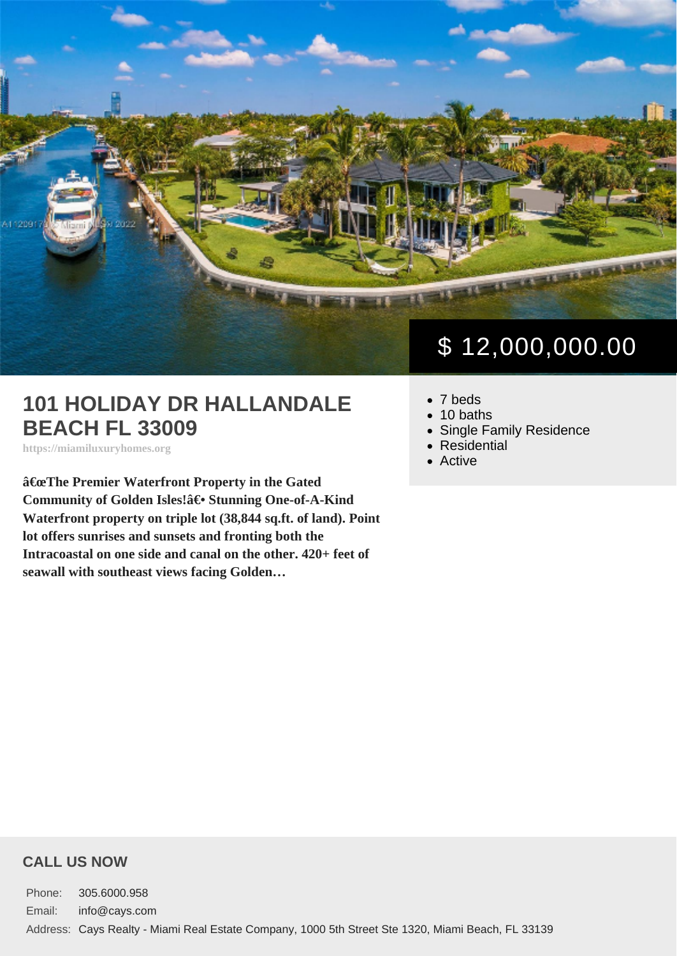## 101 HOLIDAY DR HALLANDALE BEACH FL 33009

https://miamiluxuryhomes.org

"The Premier Waterfront Property in the Gated Community of Golden Isles!†Stunning One-of-A-Kind Waterfront property on triple lot (38,844 sq.ft. of land). Point lot offers sunrises and sunsets and fronting both the Intracoastal on one side and canal on the other. 420+ feet of seawall with southeast views facing Golden…

# \$ 12,000,000.00

- 7 beds
- $\bullet$  10 baths
- [Single Family Residence](https://miamiluxuryhomes.org/es_type/single-family-residence/)
- [Residential](https://miamiluxuryhomes.org/es_category/residential/)
- [Active](https://miamiluxuryhomes.org/es_status/active/)

#### CALL US NOW

Phone: 305.6000.958 Email: info@cays.com Address: Cays Realty - Miami Real Estate Company, 1000 5th Street Ste 1320, Miami Beach, FL 33139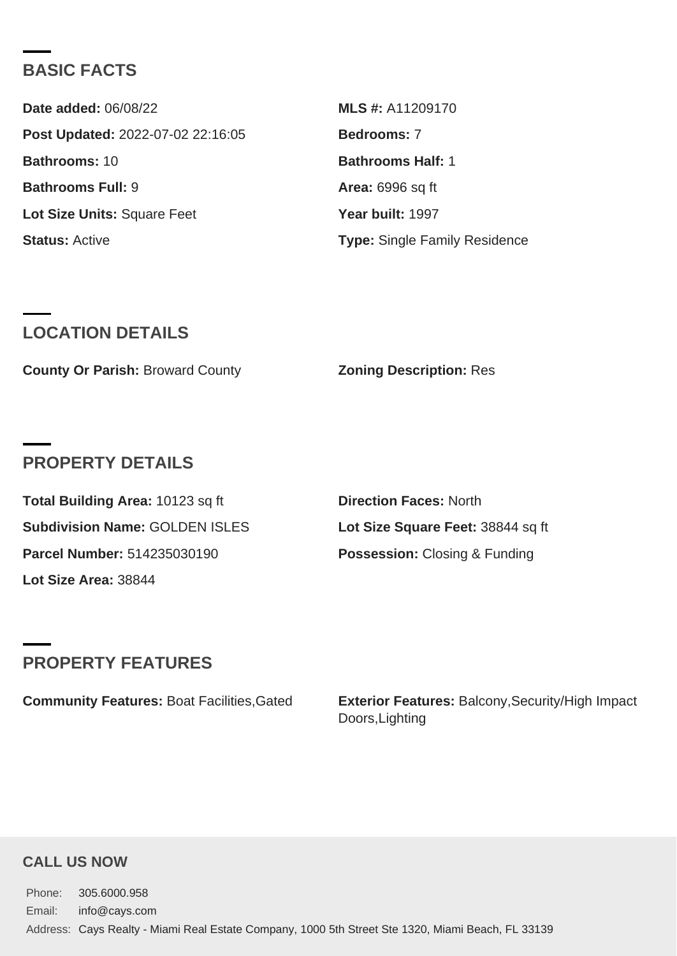## BASIC FACTS

| Date added: 06/08/22              | MLS #: A11209170                     |
|-----------------------------------|--------------------------------------|
| Post Updated: 2022-07-02 22:16:05 | Bedrooms: 7                          |
| Bathrooms: 10                     | Bathrooms Half: 1                    |
| Bathrooms Full: 9                 | Area: 6996 sq ft                     |
| Lot Size Units: Square Feet       | Year built: 1997                     |
| Status: Active                    | <b>Type: Single Family Residence</b> |

#### LOCATION DETAILS

County Or Parish: Broward County **Zoning Description: Res** 

#### PROPERTY DETAILS

| Total Building Area: 10123 sq ft | Direction Faces: North            |
|----------------------------------|-----------------------------------|
| Subdivision Name: GOLDEN ISLES   | Lot Size Square Feet: 38844 sq ft |
| Parcel Number: 514235030190      | Possession: Closing & Funding     |
| Lot Size Area: 38844             |                                   |

## PROPERTY FEATURES

Community Features: Boat Facilities,Gated Exterior Features: Balcony,Security/High Impact Doors,Lighting

#### CALL US NOW

Phone: 305.6000.958 Email: info@cays.com Address: Cays Realty - Miami Real Estate Company, 1000 5th Street Ste 1320, Miami Beach, FL 33139